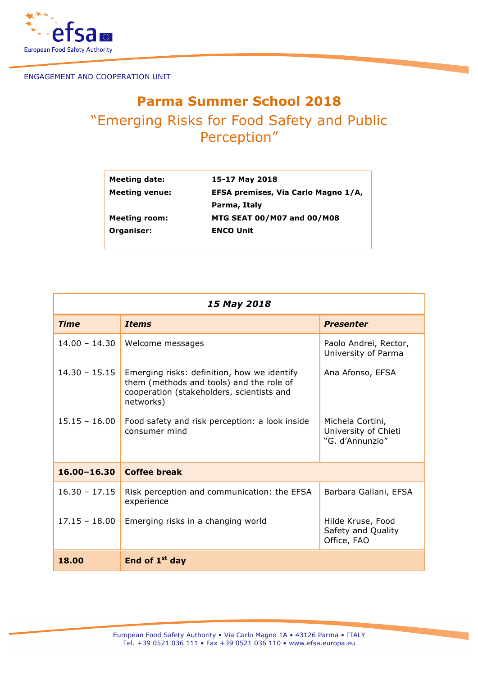

ENGAGEMENT AND COOPERATION UNIT

## **Parma Summer School 2018** "Emerging Risks for Food Safety and Public Perception"

| Meeting date:         | 15-17 May 2018                      |  |
|-----------------------|-------------------------------------|--|
| <b>Meeting venue:</b> | EFSA premises, Via Carlo Magno 1/A, |  |
|                       | Parma, Italy                        |  |
| <b>Meeting room:</b>  | <b>MTG SEAT 00/M07 and 00/M08</b>   |  |
| Organiser:            | <b>ENCO Unit</b>                    |  |
|                       |                                     |  |

| 15 May 2018     |                                                                                                                                                   |                                                             |  |  |
|-----------------|---------------------------------------------------------------------------------------------------------------------------------------------------|-------------------------------------------------------------|--|--|
| <b>Time</b>     | <b>Items</b>                                                                                                                                      | <b>Presenter</b>                                            |  |  |
| $14.00 - 14.30$ | Welcome messages                                                                                                                                  | Paolo Andrei, Rector,<br>University of Parma                |  |  |
| $14.30 - 15.15$ | Emerging risks: definition, how we identify<br>them (methods and tools) and the role of<br>cooperation (stakeholders, scientists and<br>networks) | Ana Afonso, EFSA                                            |  |  |
| $15.15 - 16.00$ | Food safety and risk perception: a look inside<br>consumer mind                                                                                   | Michela Cortini,<br>University of Chieti<br>"G. d'Annunzio" |  |  |
| $16.00 - 16.30$ | <b>Coffee break</b>                                                                                                                               |                                                             |  |  |
| $16.30 - 17.15$ | Risk perception and communication: the EFSA<br>experience                                                                                         | Barbara Gallani, EFSA                                       |  |  |
| $17.15 - 18.00$ | Emerging risks in a changing world                                                                                                                | Hilde Kruse, Food<br>Safety and Quality<br>Office, FAO      |  |  |
| 18.00           | End of $1st$ day                                                                                                                                  |                                                             |  |  |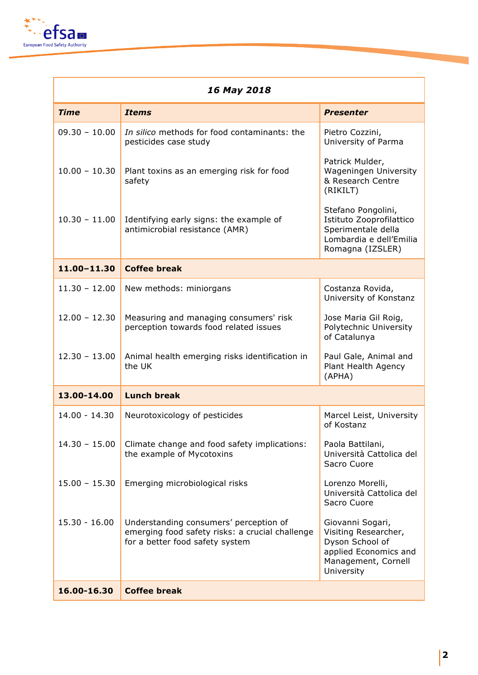

| 16 May 2018     |                                                                                                                              |                                                                                                                           |  |
|-----------------|------------------------------------------------------------------------------------------------------------------------------|---------------------------------------------------------------------------------------------------------------------------|--|
| <b>Time</b>     | <b>Items</b>                                                                                                                 | <b>Presenter</b>                                                                                                          |  |
| $09.30 - 10.00$ | In silico methods for food contaminants: the<br>pesticides case study                                                        | Pietro Cozzini,<br>University of Parma                                                                                    |  |
| $10.00 - 10.30$ | Plant toxins as an emerging risk for food<br>safety                                                                          | Patrick Mulder,<br>Wageningen University<br>& Research Centre<br>(RIKILT)                                                 |  |
| $10.30 - 11.00$ | Identifying early signs: the example of<br>antimicrobial resistance (AMR)                                                    | Stefano Pongolini,<br>Istituto Zooprofilattico<br>Sperimentale della<br>Lombardia e dell'Emilia<br>Romagna (IZSLER)       |  |
| 11.00-11.30     | <b>Coffee break</b>                                                                                                          |                                                                                                                           |  |
| $11.30 - 12.00$ | New methods: miniorgans                                                                                                      | Costanza Rovida,<br>University of Konstanz                                                                                |  |
| $12.00 - 12.30$ | Measuring and managing consumers' risk<br>perception towards food related issues                                             | Jose Maria Gil Roig,<br>Polytechnic University<br>of Catalunya                                                            |  |
| $12.30 - 13.00$ | Animal health emerging risks identification in<br>the UK                                                                     | Paul Gale, Animal and<br>Plant Health Agency<br>(APHA)                                                                    |  |
| 13.00-14.00     | <b>Lunch break</b>                                                                                                           |                                                                                                                           |  |
| $14.00 - 14.30$ | Neurotoxicology of pesticides                                                                                                | Marcel Leist, University<br>of Kostanz                                                                                    |  |
| $14.30 - 15.00$ | Climate change and food safety implications:<br>the example of Mycotoxins                                                    | Paola Battilani,<br>Università Cattolica del<br>Sacro Cuore                                                               |  |
| $15.00 - 15.30$ | Emerging microbiological risks                                                                                               | Lorenzo Morelli,<br>Università Cattolica del<br>Sacro Cuore                                                               |  |
| $15.30 - 16.00$ | Understanding consumers' perception of<br>emerging food safety risks: a crucial challenge<br>for a better food safety system | Giovanni Sogari,<br>Visiting Researcher,<br>Dyson School of<br>applied Economics and<br>Management, Cornell<br>University |  |
| 16.00-16.30     | <b>Coffee break</b>                                                                                                          |                                                                                                                           |  |